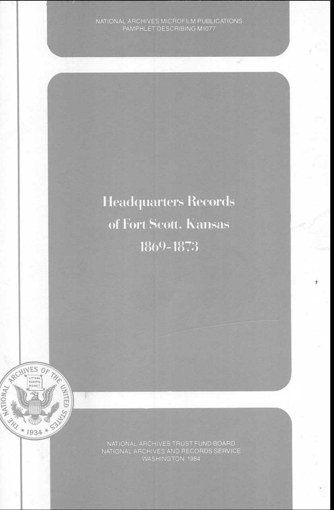**Headquarters Records** of Fort Scott. Kansas 1869-1873



B

NATIONAL ARCHIVES TRUST FUND BOARD<br>NATIONAL ARCHIVES AND RECORDS SERVICE<br>WASHINGTON: 1984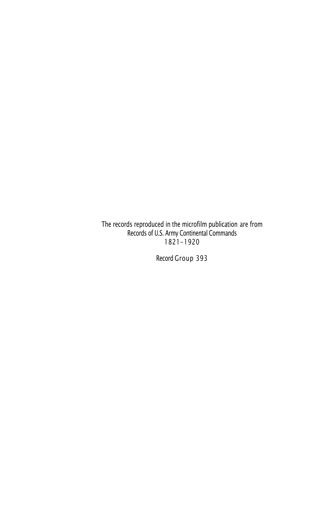The records reproduced in the microfilm publication are from Records of U.S. Army Continental Commands 1821-1920

Record Group 393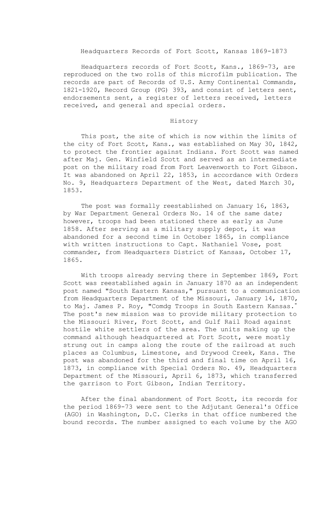#### Headquarters Records of Fort Scott, Kansas 1869-1873

Headquarters records of Fort Scott, Kans., 1869-73, are reproduced on the two rolls of this microfilm publication. The records are part of Records of U.S. Army Continental Commands, 1821-1920, Record Group (PG) 393, and consist of letters sent, endorsements sent, a register of letters received, letters received, and general and special orders.

### History

This post, the site of which is now within the limits of the city of Fort Scott, Kans., was established on May 30, 1842, to protect the frontier against Indians. Fort Scott was named after Maj. Gen. Winfield Scott and served as an intermediate post on the military road from Fort Leavenworth to Fort Gibson. It was abandoned on April 22, 1853, in accordance with Orders No. 9, Headquarters Department of the West, dated March 30, 1853.

The post was formally reestablished on January 16, 1863, by War Department General Orders No. 14 of the same date; however, troops had been stationed there as early as June 1858. After serving as a military supply depot, it was abandoned for a second time in October 1865, in compliance with written instructions to Capt. Nathaniel Vose, post commander, from Headquarters District of Kansas, October 17, 1865.

With troops already serving there in September 1869, Fort Scott was reestablished again in January 1870 as an independent post named "South Eastern Kansas," pursuant to a communication from Headquarters Department of the Missouri, January 14, 1870, to Maj. James P. Roy, "Comdg Troops in South Eastern Kansas. " The post's new mission was to provide military protection to the Missouri River, Fort Scott, and Gulf Rail Road against hostile white settlers of the area. The units making up the command although headquartered at Fort Scott, were mostly strung out in camps along the route of the railroad at such places as Columbus, Limestone, and Drywood Creek, Kans. The post was abandoned for the third and final time on April 16, 1873, in compliance with Special Orders No. 49, Headquarters Department of the Missouri, April 6, 1873, which transferred the garrison to Fort Gibson, Indian Territory.

After the final abandonment of Fort Scott, its records for the period 1869-73 were sent to the Adjutant General's Office (AGO) in Washington, D.C. Clerks in that office numbered the bound records. The number assigned to each volume by the AGO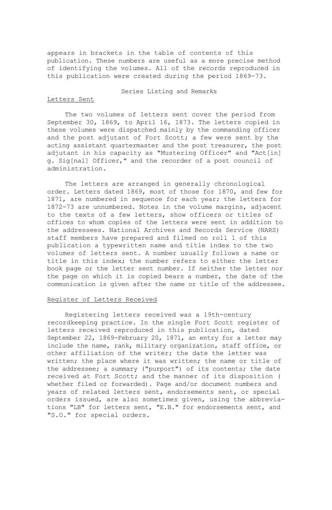appears in brackets in the table of contents of this publication. These numbers are useful as a more precise method of identifying the volumes. All of the records reproduced in this publication were created during the period 1869-73.

### Series Listing and Remarks

#### Letters Sent

The two volumes of letters sent cover the period from September 30, 1869, to April 16, 1873. The letters copied in these volumes were dispatched mainly by the commanding officer and the post adjutant of Fort Scott; a few were sent by the acting assistant quartermaster and the post treasurer, the post adjutant in his capacity as "Mustering Officer" and "Act[in] g. Sig[nal] Officer," and the recorder of a post council of administration.

The letters are arranged in generally chronological order. Letters dated 1869, most of those for 1870, and few for 1871, are numbered in sequence for each year; the letters for 1872-73 are unnumbered. Notes in the volume margins, adjacent to the texts of a few letters, show officers or titles of offices to whom copies of the letters were sent in addition to the addressees. National Archives and Records Service (NARS) staff members have prepared and filmed on roll 1 of this publication a typewritten name and title index to the two volumes of letters sent. A number usually follows a name or title in this index; the number refers to either the letter book page or the letter sent number. If neither the letter nor the page on which it is copied bears a number, the date of the communication is given after the name or title of the addressee.

## Register of Letters Received

Registering letters received was a 19th-century recordkeeping practice. In the single Fort Scott register of letters received reproduced in this publication, dated September 22, 1869-February 20, 1871, an entry for a letter may include the name, rank, military organization, staff office, or other affiliation of the writer; the date the letter was written; the place where it was written; the name or title of the addressee; a summary ("purport") of its contents; the date received at Fort Scott; and the manner of its disposition ( whether filed or forwarded). Page and/or document numbers and years of related letters sent, endorsements sent, or special orders issued, are also sometimes given, using the abbreviations "LB" for letters sent, "E.B." for endorsements sent, and "S.O." for special orders.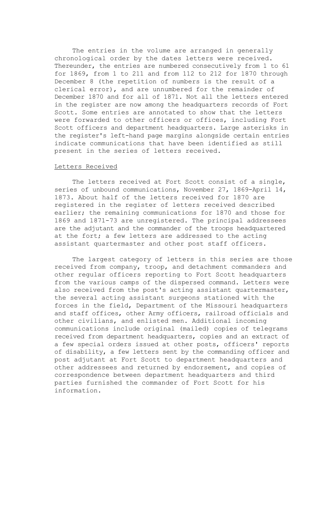The entries in the volume are arranged in generally chronological order by the dates letters were received. Thereunder, the entries are numbered consecutively from 1 to 61 for 1869, from 1 to 211 and from 112 to 212 for 1870 through December 8 (the repetition of numbers is the result of a clerical error), and are unnumbered for the remainder of December 1870 and for all of 1871. Not all the letters entered in the register are now among the headquarters records of Fort Scott. Some entries are annotated to show that the letters were forwarded to other officers or offices, including Fort Scott officers and department headquarters. Large asterisks in the register's left-hand page margins alongside certain entries indicate communications that have been identified as still present in the series of letters received.

#### Letters Received

The letters received at Fort Scott consist of a single, series of unbound communications, November 27, 1869-April 14, 1873. About half of the letters received for 1870 are registered in the register of letters received described earlier; the remaining communications for 1870 and those for 1869 and 1871-73 are unregistered. The principal addressees are the adjutant and the commander of the troops headquartered at the fort; a few letters are addressed to the acting assistant quartermaster and other post staff officers.

The largest category of letters in this series are those received from company, troop, and detachment commanders and other regular officers reporting to Fort Scott headquarters from the various camps of the dispersed command. Letters were also received from the post's acting assistant quartermaster, the several acting assistant surgeons stationed with the forces in the field, Department of the Missouri headquarters and staff offices, other Army officers, railroad officials and other civilians, and enlisted men. Additional incoming communications include original (mailed) copies of telegrams received from department headquarters, copies and an extract of a few special orders issued at other posts, officers' reports of disability, a few letters sent by the commanding officer and post adjutant at Fort Scott to department headquarters and other addressees and returned by endorsement, and copies of correspondence between department headquarters and third parties furnished the commander of Fort Scott for his information.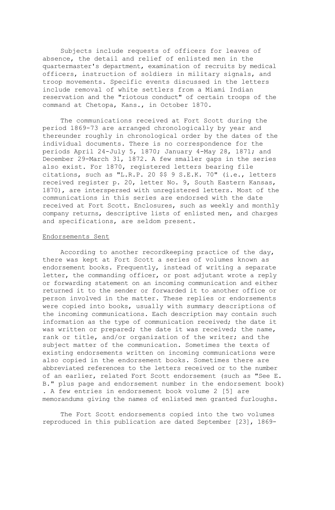Subjects include requests of officers for leaves of absence, the detail and relief of enlisted men in the quartermaster's department, examination of recruits by medical officers, instruction of soldiers in military signals, and troop movements. Specific events discussed in the letters include removal of white settlers from a Miami Indian reservation and the "riotous conduct" of certain troops of the command at Chetopa, Kans., in October 1870.

The communications received at Fort Scott during the period 1869-73 are arranged chronologically by year and thereunder roughly in chronological order by the dates of the individual documents. There is no correspondence for the periods April 24-July 5, 1870; January 4-May 28, 1871; and December 29-March 31, 1872. A few smaller gaps in the series also exist. For 1870, registered letters bearing file citations, such as "L.R.P. 20 \$\$ 9 S.E.K. 70" (i.e., letters received register p. 20, letter No. 9, South Eastern Kansas, 1870), are interspersed with unregistered letters. Most of the communications in this series are endorsed with the date received at Fort Scott. Enclosures, such as weekly and monthly company returns, descriptive lists of enlisted men, and charges and specifications, are seldom present.

#### Endorsements Sent

According to another recordkeeping practice of the day, there was kept at Fort Scott a series of volumes known as endorsement books. Frequently, instead of writing a separate letter, the commanding officer, or post adjutant wrote a reply or forwarding statement on an incoming communication and either returned it to the sender or forwarded it to another office or person involved in the matter. These replies or endorsements were copied into books, usually with summary descriptions of the incoming communications. Each description may contain such information as the type of communication received; the date it was written or prepared; the date it was received; the name, rank or title, and/or organization of the writer; and the subject matter of the communication. Sometimes the texts of existing endorsements written on incoming communications were also copied in the endorsement books. Sometimes there are abbreviated references to the letters received or to the number of an earlier, related Fort Scott endorsement (such as "See E. B." plus page and endorsement number in the endorsement book) . A few entries in endorsement book volume 2 [5] are memorandums giving the names of enlisted men granted furloughs.

The Fort Scott endorsements copied into the two volumes reproduced in this publication are dated September [23], 1869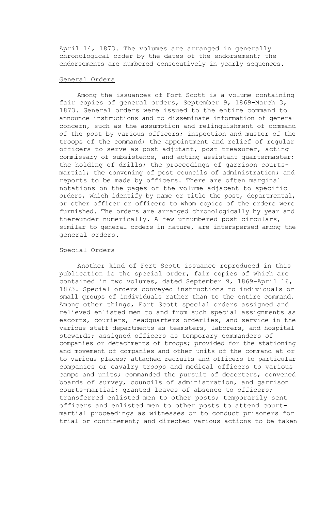April 14, 1873. The volumes are arranged in generally chronological order by the dates of the endorsement; the endorsements are numbered consecutively in yearly sequences.

#### General Orders

Among the issuances of Fort Scott is a volume containing fair copies of general orders, September 9, 1869-March 3, 1873. General orders were issued to the entire command to announce instructions and to disseminate information of general concern, such as the assumption and relinquishment of command of the post by various officers; inspection and muster of the troops of the command; the appointment and relief of regular officers to serve as post adjutant, post treasurer, acting commissary of subsistence, and acting assistant quartermaster; the holding of drills; the proceedings of garrison courtsmartial; the convening of post councils of administration; and reports to be made by officers. There are often marginal notations on the pages of the volume adjacent to specific orders, which identify by name or title the post, departmental, or other officer or officers to whom copies of the orders were furnished. The orders are arranged chronologically by year and thereunder numerically. A few unnumbered post circulars, similar to general orders in nature, are interspersed among the general orders.

#### Special Orders

Another kind of Fort Scott issuance reproduced in this publication is the special order, fair copies of which are contained in two volumes, dated September 9, 1869-April 16, 1873. Special orders conveyed instructions to individuals or small groups of individuals rather than to the entire command. Among other things, Fort Scott special orders assigned and relieved enlisted men to and from such special assignments as escorts, couriers, headquarters orderlies, and service in the various staff departments as teamsters, laborers, and hospital stewards; assigned officers as temporary commanders of companies or detachments of troops; provided for the stationing and movement of companies and other units of the command at or to various places; attached recruits and officers to particular companies or cavalry troops and medical officers to various camps and units; commanded the pursuit of deserters; convened boards of survey, councils of administration, and garrison courts-martial; granted leaves of absence to officers; transferred enlisted men to other posts; temporarily sent officers and enlisted men to other posts to attend courtmartial proceedings as witnesses or to conduct prisoners for trial or confinement; and directed various actions to be taken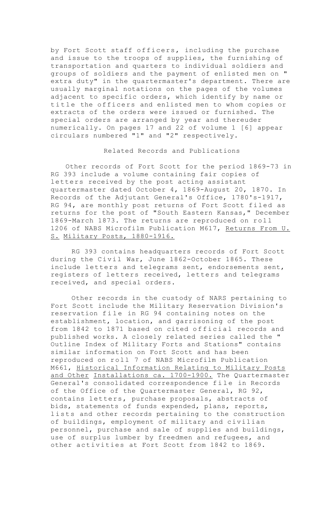by Fort Scott staff officers, including the purchase and issue to the troops of supplies, the furnishing of transportation and quarters to individual soldiers and groups of soldiers and the payment of enlisted men on " extra duty" in the quartermaster's department. There are usually marginal notations on the pages of the volumes adjacent to specific orders, which identify by name or title the officers and enlisted men to whom copies or extracts of the orders were issued or furnished. The special orders are arranged by year and thereuder numerically. On pages 17 and 22 of volume 1 [6] appear circulars numbered "1" and "2" respectively.

## Related Records and Publications

Other records of Fort Scott for the period 1869-73 in RG 393 include a volume containing fair copies of letters received by the post acting assistant quartermaster dated October 4, 1869-August 20, 1870. In Records of the Adjutant General's Office, 1780's-1917, RG 94, are monthly post returns of Fort Scott filed as returns for the post of "South Eastern Kansas," December 1869-March 1873. The returns are reproduced on roll 1206 of NABS Microfilm Publication M617, Returns From U. S. Military Posts, 1880-1916.

RG 393 contains headquarters records of Fort Scott during the Civil War, June 1862-October 1865. These include letters and telegrams sent, endorsements sent, registers of letters received, letters and telegrams received, and special orders.

Other records in the custody of NARS pertaining to Fort Scott include the Military Reservation Division's reservation file in RG 94 containing notes on the establishment, location, and garrisoning of the post from 1842 to 1871 based on cited official records and published works. A closely related series called the " Outline Index of Military Forts and Stations" contains similar information on Fort Scott and has been reproduced on roll 7 of NABS Microfilm Publication M661, Historical Information Relating to Military Posts and Other Installations ca. 1700-1900. The Quartermaster General's consolidated correspondence file in Records of the Office of the Quartermaster General, RG 92, contains letters, purchase proposals, abstracts of bids, statements of funds expended, plans, reports, lists and other records pertaining to the construction of buildings, employment of military and civilian personnel, purchase and sale of supplies and buildings, use of surplus lumber by freedmen and refugees, and other activities at Fort Scott from 1842 to 1869.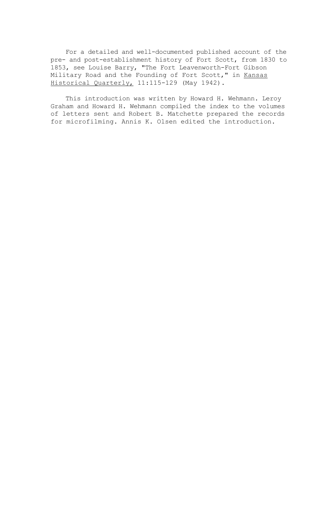For a detailed and well-documented published account of the pre- and post-establishment history of Fort Scott, from 1830 to 1853, see Louise Barry, "The Fort Leavenworth-Fort Gibson Military Road and the Founding of Fort Scott," in Kansas Historical Quarterly, 11:115-129 (May 1942).

This introduction was written by Howard H. Wehmann. Leroy Graham and Howard H. Wehmann compiled the index to the volumes of letters sent and Robert B. Matchette prepared the records for microfilming. Annis K. Olsen edited the introduction.